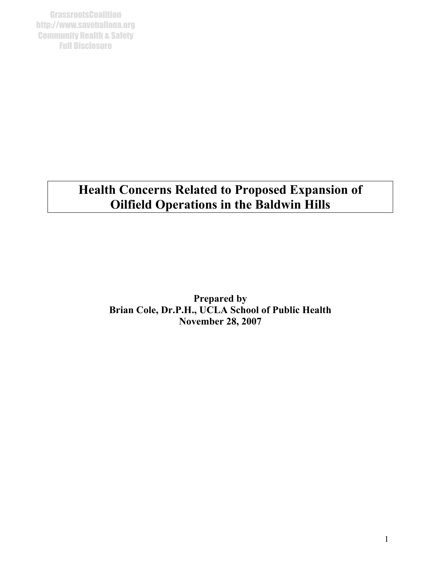**GrassrootsCoalition** http://www.saveballona.org Community Health & Safety Full Disclosure

# **Health Concerns Related to Proposed Expansion of Oilfield Operations in the Baldwin Hills**

**Prepared by Brian Cole, Dr.P.H., UCLA School of Public Health November 28, 2007**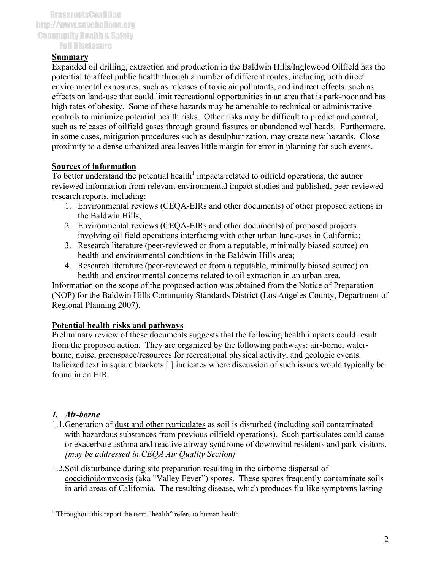#### **Summary**

Expanded oil drilling, extraction and production in the Baldwin Hills/Inglewood Oilfield has the potential to affect public health through a number of different routes, including both direct environmental exposures, such as releases of toxic air pollutants, and indirect effects, such as effects on land-use that could limit recreational opportunities in an area that is park-poor and has high rates of obesity. Some of these hazards may be amenable to technical or administrative controls to minimize potential health risks. Other risks may be difficult to predict and control, such as releases of oilfield gases through ground fissures or abandoned wellheads. Furthermore, in some cases, mitigation procedures such as desulphurization, may create new hazards. Close proximity to a dense urbanized area leaves little margin for error in planning for such events.

## **Sources of information**

To better understand the potential health<sup>1</sup> impacts related to oilfield operations, the author reviewed information from relevant environmental impact studies and published, peer-reviewed research reports, including:

- 1. Environmental reviews (CEQA-EIRs and other documents) of other proposed actions in the Baldwin Hills;
- 2. Environmental reviews (CEQA-EIRs and other documents) of proposed projects involving oil field operations interfacing with other urban land-uses in California;
- 3. Research literature (peer-reviewed or from a reputable, minimally biased source) on health and environmental conditions in the Baldwin Hills area;
- 4. Research literature (peer-reviewed or from a reputable, minimally biased source) on health and environmental concerns related to oil extraction in an urban area.

Information on the scope of the proposed action was obtained from the Notice of Preparation (NOP) for the Baldwin Hills Community Standards District (Los Angeles County, Department of Regional Planning 2007).

#### **Potential health risks and pathways**

Preliminary review of these documents suggests that the following health impacts could result from the proposed action. They are organized by the following pathways: air-borne, waterborne, noise, greenspace/resources for recreational physical activity, and geologic events. Italicized text in square brackets [ ] indicates where discussion of such issues would typically be found in an EIR.

## *1. Air-borne*

<u>.</u>

- 1.1.Generation of dust and other particulates as soil is disturbed (including soil contaminated with hazardous substances from previous oilfield operations). Such particulates could cause or exacerbate asthma and reactive airway syndrome of downwind residents and park visitors. *[may be addressed in CEQA Air Quality Section]*
- 1.2.Soil disturbance during site preparation resulting in the airborne dispersal of coccidioidomycosis (aka "Valley Fever") spores. These spores frequently contaminate soils in arid areas of California. The resulting disease, which produces flu-like symptoms lasting

<span id="page-1-0"></span><sup>&</sup>lt;sup>1</sup> Throughout this report the term "health" refers to human health.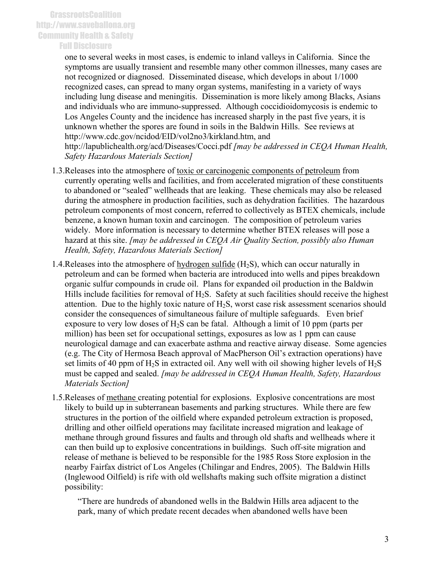#### Full Disclosure

one to several weeks in most cases, is endemic to inland valleys in California. Since the symptoms are usually transient and resemble many other common illnesses, many cases are not recognized or diagnosed. Disseminated disease, which develops in about 1/1000 recognized cases, can spread to many organ systems, manifesting in a variety of ways including lung disease and meningitis. Dissemination is more likely among Blacks, Asians and individuals who are immuno-suppressed. Although coccidioidomycosis is endemic to Los Angeles County and the incidence has increased sharply in the past five years, it is unknown whether the spores are found in soils in the Baldwin Hills. See reviews at http://www.cdc.gov/ncidod/EID/vol2no3/kirkland.htm, and http://lapublichealth.org/acd/Diseases/Cocci.pdf *[may be addressed in CEQA Human Health, Safety Hazardous Materials Section]*

- 1.3.Releases into the atmosphere of toxic or carcinogenic components of petroleum from currently operating wells and facilities, and from accelerated migration of these constituents to abandoned or "sealed" wellheads that are leaking. These chemicals may also be released during the atmosphere in production facilities, such as dehydration facilities. The hazardous petroleum components of most concern, referred to collectively as BTEX chemicals, include benzene, a known human toxin and carcinogen. The composition of petroleum varies widely. More information is necessary to determine whether BTEX releases will pose a hazard at this site. *[may be addressed in CEQA Air Quality Section, possibly also Human Health, Safety, Hazardous Materials Section]*
- 1.4. Releases into the atmosphere of hydrogen sulfide  $(H_2S)$ , which can occur naturally in petroleum and can be formed when bacteria are introduced into wells and pipes breakdown organic sulfur compounds in crude oil. Plans for expanded oil production in the Baldwin Hills include facilities for removal of  $H_2S$ . Safety at such facilities should receive the highest attention. Due to the highly toxic nature of  $H_2S$ , worst case risk assessment scenarios should consider the consequences of simultaneous failure of multiple safeguards. Even brief exposure to very low doses of  $H_2S$  can be fatal. Although a limit of 10 ppm (parts per million) has been set for occupational settings, exposures as low as 1 ppm can cause neurological damage and can exacerbate asthma and reactive airway disease. Some agencies (e.g. The City of Hermosa Beach approval of MacPherson Oil's extraction operations) have set limits of 40 ppm of  $H_2S$  in extracted oil. Any well with oil showing higher levels of  $H_2S$ must be capped and sealed. *[may be addressed in CEQA Human Health, Safety, Hazardous Materials Section]*
- 1.5.Releases of methane creating potential for explosions. Explosive concentrations are most likely to build up in subterranean basements and parking structures. While there are few structures in the portion of the oilfield where expanded petroleum extraction is proposed, drilling and other oilfield operations may facilitate increased migration and leakage of methane through ground fissures and faults and through old shafts and wellheads where it can then build up to explosive concentrations in buildings. Such off-site migration and release of methane is believed to be responsible for the 1985 Ross Store explosion in the nearby Fairfax district of Los Angeles (Chilingar and Endres, 2005). The Baldwin Hills (Inglewood Oilfield) is rife with old wellshafts making such offsite migration a distinct possibility:

"There are hundreds of abandoned wells in the Baldwin Hills area adjacent to the park, many of which predate recent decades when abandoned wells have been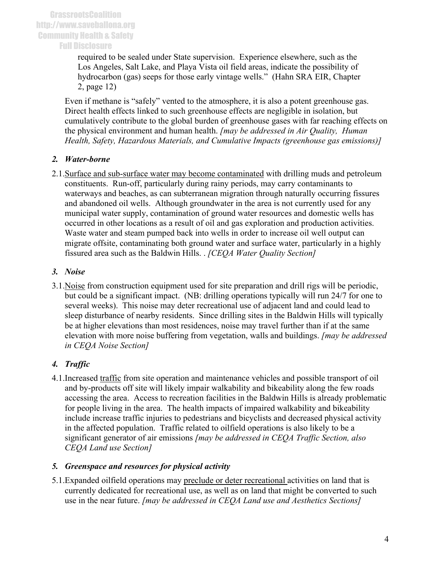required to be sealed under State supervision. Experience elsewhere, such as the Los Angeles, Salt Lake, and Playa Vista oil field areas, indicate the possibility of hydrocarbon (gas) seeps for those early vintage wells." (Hahn SRA EIR, Chapter 2, page 12)

Even if methane is "safely" vented to the atmosphere, it is also a potent greenhouse gas. Direct health effects linked to such greenhouse effects are negligible in isolation, but cumulatively contribute to the global burden of greenhouse gases with far reaching effects on the physical environment and human health. *[may be addressed in Air Quality, Human Health, Safety, Hazardous Materials, and Cumulative Impacts (greenhouse gas emissions)]* 

## *2. Water-borne*

2.1.Surface and sub-surface water may become contaminated with drilling muds and petroleum constituents. Run-off, particularly during rainy periods, may carry contaminants to waterways and beaches, as can subterranean migration through naturally occurring fissures and abandoned oil wells. Although groundwater in the area is not currently used for any municipal water supply, contamination of ground water resources and domestic wells has occurred in other locations as a result of oil and gas exploration and production activities. Waste water and steam pumped back into wells in order to increase oil well output can migrate offsite, contaminating both ground water and surface water, particularly in a highly fissured area such as the Baldwin Hills. . *[CEQA Water Quality Section]*

## *3. Noise*

3.1.Noise from construction equipment used for site preparation and drill rigs will be periodic, but could be a significant impact. (NB: drilling operations typically will run 24/7 for one to several weeks). This noise may deter recreational use of adjacent land and could lead to sleep disturbance of nearby residents. Since drilling sites in the Baldwin Hills will typically be at higher elevations than most residences, noise may travel further than if at the same elevation with more noise buffering from vegetation, walls and buildings. *[may be addressed in CEQA Noise Section]*

# *4. Traffic*

4.1.Increased traffic from site operation and maintenance vehicles and possible transport of oil and by-products off site will likely impair walkability and bikeability along the few roads accessing the area. Access to recreation facilities in the Baldwin Hills is already problematic for people living in the area. The health impacts of impaired walkability and bikeability include increase traffic injuries to pedestrians and bicyclists and decreased physical activity in the affected population. Traffic related to oilfield operations is also likely to be a significant generator of air emissions *[may be addressed in CEQA Traffic Section, also CEQA Land use Section]*

## *5. Greenspace and resources for physical activity*

5.1.Expanded oilfield operations may preclude or deter recreational activities on land that is currently dedicated for recreational use, as well as on land that might be converted to such use in the near future. *[may be addressed in CEQA Land use and Aesthetics Sections]*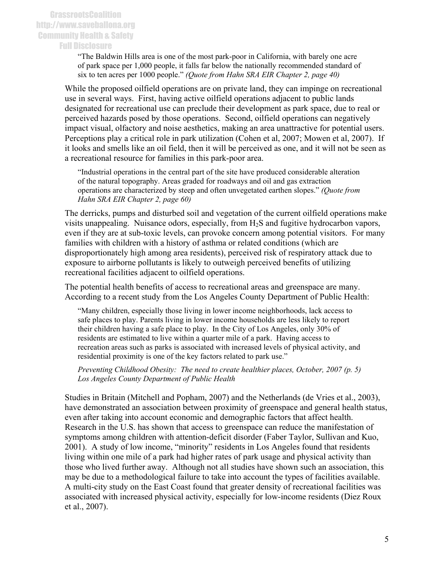Full Disclosure

"The Baldwin Hills area is one of the most park-poor in California, with barely one acre of park space per 1,000 people, it falls far below the nationally recommended standard of six to ten acres per 1000 people." *(Quote from Hahn SRA EIR Chapter 2, page 40)*

While the proposed oilfield operations are on private land, they can impinge on recreational use in several ways. First, having active oilfield operations adjacent to public lands designated for recreational use can preclude their development as park space, due to real or perceived hazards posed by those operations. Second, oilfield operations can negatively impact visual, olfactory and noise aesthetics, making an area unattractive for potential users. Perceptions play a critical role in park utilization (Cohen et al, 2007; Mowen et al, 2007). If it looks and smells like an oil field, then it will be perceived as one, and it will not be seen as a recreational resource for families in this park-poor area.

"Industrial operations in the central part of the site have produced considerable alteration of the natural topography. Areas graded for roadways and oil and gas extraction operations are characterized by steep and often unvegetated earthen slopes." *(Quote from Hahn SRA EIR Chapter 2, page 60)*

The derricks, pumps and disturbed soil and vegetation of the current oilfield operations make visits unappealing. Nuisance odors, especially, from H2S and fugitive hydrocarbon vapors, even if they are at sub-toxic levels, can provoke concern among potential visitors. For many families with children with a history of asthma or related conditions (which are disproportionately high among area residents), perceived risk of respiratory attack due to exposure to airborne pollutants is likely to outweigh perceived benefits of utilizing recreational facilities adjacent to oilfield operations.

The potential health benefits of access to recreational areas and greenspace are many. According to a recent study from the Los Angeles County Department of Public Health:

"Many children, especially those living in lower income neighborhoods, lack access to safe places to play. Parents living in lower income households are less likely to report their children having a safe place to play. In the City of Los Angeles, only 30% of residents are estimated to live within a quarter mile of a park. Having access to recreation areas such as parks is associated with increased levels of physical activity, and residential proximity is one of the key factors related to park use."

*Preventing Childhood Obesity: The need to create healthier places, October, 2007 (p. 5) Los Angeles County Department of Public Health* 

Studies in Britain (Mitchell and Popham, 2007) and the Netherlands (de Vries et al., 2003), have demonstrated an association between proximity of greenspace and general health status, even after taking into account economic and demographic factors that affect health. Research in the U.S. has shown that access to greenspace can reduce the manifestation of symptoms among children with attention-deficit disorder (Faber Taylor, Sullivan and Kuo, 2001). A study of low income, "minority" residents in Los Angeles found that residents living within one mile of a park had higher rates of park usage and physical activity than those who lived further away. Although not all studies have shown such an association, this may be due to a methodological failure to take into account the types of facilities available. A multi-city study on the East Coast found that greater density of recreational facilities was associated with increased physical activity, especially for low-income residents (Diez Roux et al., 2007).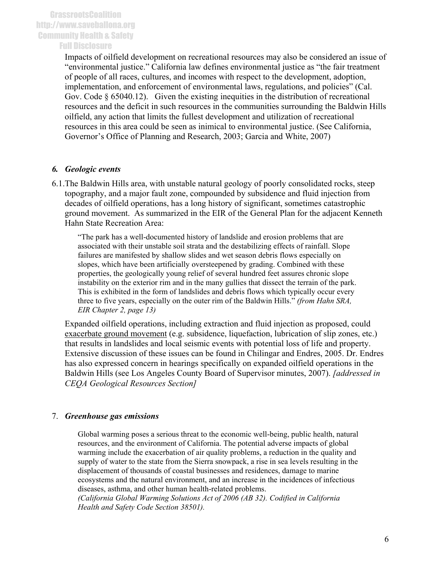Impacts of oilfield development on recreational resources may also be considered an issue of "environmental justice." California law defines environmental justice as "the fair treatment of people of all races, cultures, and incomes with respect to the development, adoption, implementation, and enforcement of environmental laws, regulations, and policies" (Cal. Gov. Code § 65040.12). Given the existing inequities in the distribution of recreational resources and the deficit in such resources in the communities surrounding the Baldwin Hills oilfield, any action that limits the fullest development and utilization of recreational resources in this area could be seen as inimical to environmental justice. (See California, Governor's Office of Planning and Research, 2003; Garcia and White, 2007)

#### *6. Geologic events*

6.1.The Baldwin Hills area, with unstable natural geology of poorly consolidated rocks, steep topography, and a major fault zone, compounded by subsidence and fluid injection from decades of oilfield operations, has a long history of significant, sometimes catastrophic ground movement. As summarized in the EIR of the General Plan for the adjacent Kenneth Hahn State Recreation Area:

"The park has a well-documented history of landslide and erosion problems that are associated with their unstable soil strata and the destabilizing effects of rainfall. Slope failures are manifested by shallow slides and wet season debris flows especially on slopes, which have been artificially oversteepened by grading. Combined with these properties, the geologically young relief of several hundred feet assures chronic slope instability on the exterior rim and in the many gullies that dissect the terrain of the park. This is exhibited in the form of landslides and debris flows which typically occur every three to five years, especially on the outer rim of the Baldwin Hills." *(from Hahn SRA, EIR Chapter 2, page 13)*

Expanded oilfield operations, including extraction and fluid injection as proposed, could exacerbate ground movement (e.g. subsidence, liquefaction, lubrication of slip zones, etc.) that results in landslides and local seismic events with potential loss of life and property. Extensive discussion of these issues can be found in Chilingar and Endres, 2005. Dr. Endres has also expressed concern in hearings specifically on expanded oilfield operations in the Baldwin Hills (see Los Angeles County Board of Supervisor minutes, 2007). *[addressed in CEQA Geological Resources Section]*

## 7. *Greenhouse gas emissions*

Global warming poses a serious threat to the economic well-being, public health, natural resources, and the environment of California. The potential adverse impacts of global warming include the exacerbation of air quality problems, a reduction in the quality and supply of water to the state from the Sierra snowpack, a rise in sea levels resulting in the displacement of thousands of coastal businesses and residences, damage to marine ecosystems and the natural environment, and an increase in the incidences of infectious diseases, asthma, and other human health-related problems.

*(California Global Warming Solutions Act of 2006 (AB 32). Codified in California Health and Safety Code Section 38501).*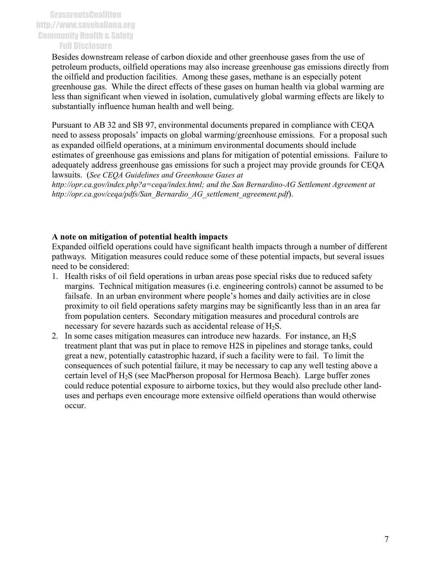Besides downstream release of carbon dioxide and other greenhouse gases from the use of petroleum products, oilfield operations may also increase greenhouse gas emissions directly from the oilfield and production facilities. Among these gases, methane is an especially potent greenhouse gas. While the direct effects of these gases on human health via global warming are less than significant when viewed in isolation, cumulatively global warming effects are likely to substantially influence human health and well being.

Pursuant to AB 32 and SB 97, environmental documents prepared in compliance with CEQA need to assess proposals' impacts on global warming/greenhouse emissions. For a proposal such as expanded oilfield operations, at a minimum environmental documents should include estimates of greenhouse gas emissions and plans for mitigation of potential emissions. Failure to adequately address greenhouse gas emissions for such a project may provide grounds for CEQA lawsuits. (*See CEQA Guidelines and Greenhouse Gases at* 

*http://opr.ca.gov/index.php?a=ceqa/index.html; and the San Bernardino-AG Settlement Agreement at http://opr.ca.gov/ceqa/pdfs/San\_Bernardio\_AG\_settlement\_agreement.pdf*).

#### **A note on mitigation of potential health impacts**

Expanded oilfield operations could have significant health impacts through a number of different pathways. Mitigation measures could reduce some of these potential impacts, but several issues need to be considered:

- 1. Health risks of oil field operations in urban areas pose special risks due to reduced safety margins. Technical mitigation measures (i.e. engineering controls) cannot be assumed to be failsafe. In an urban environment where people's homes and daily activities are in close proximity to oil field operations safety margins may be significantly less than in an area far from population centers. Secondary mitigation measures and procedural controls are necessary for severe hazards such as accidental release of H<sub>2</sub>S.
- 2. In some cases mitigation measures can introduce new hazards. For instance, an  $H_2S$ treatment plant that was put in place to remove H2S in pipelines and storage tanks, could great a new, potentially catastrophic hazard, if such a facility were to fail. To limit the consequences of such potential failure, it may be necessary to cap any well testing above a certain level of  $H_2S$  (see MacPherson proposal for Hermosa Beach). Large buffer zones could reduce potential exposure to airborne toxics, but they would also preclude other landuses and perhaps even encourage more extensive oilfield operations than would otherwise occur.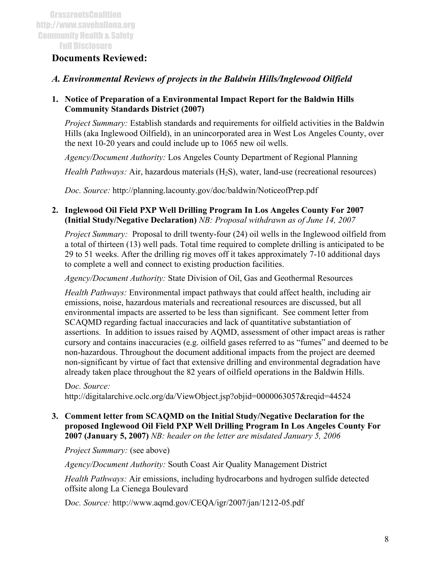# **Documents Reviewed:**

## *A. Environmental Reviews of projects in the Baldwin Hills/Inglewood Oilfield*

#### **1. Notice of Preparation of a Environmental Impact Report for the Baldwin Hills Community Standards District (2007)**

*Project Summary:* Establish standards and requirements for oilfield activities in the Baldwin Hills (aka Inglewood Oilfield), in an unincorporated area in West Los Angeles County, over the next 10-20 years and could include up to 1065 new oil wells.

*Agency/Document Authority:* Los Angeles County Department of Regional Planning

*Health Pathways:* Air, hazardous materials (H<sub>2</sub>S), water, land-use (recreational resources)

*Doc. Source:* http://planning.lacounty.gov/doc/baldwin/NoticeofPrep.pdf

**2. Inglewood Oil Field PXP Well Drilling Program In Los Angeles County For 2007 (Initial Study/Negative Declaration)** *NB: Proposal withdrawn as of June 14, 2007*

*Project Summary:* Proposal to drill twenty-four (24) oil wells in the Inglewood oilfield from a total of thirteen (13) well pads. Total time required to complete drilling is anticipated to be 29 to 51 weeks. After the drilling rig moves off it takes approximately 7-10 additional days to complete a well and connect to existing production facilities.

*Agency/Document Authority:* State Division of Oil, Gas and Geothermal Resources

*Health Pathways:* Environmental impact pathways that could affect health, including air emissions, noise, hazardous materials and recreational resources are discussed, but all environmental impacts are asserted to be less than significant. See comment letter from SCAQMD regarding factual inaccuracies and lack of quantitative substantiation of assertions. In addition to issues raised by AQMD, assessment of other impact areas is rather cursory and contains inaccuracies (e.g. oilfield gases referred to as "fumes" and deemed to be non-hazardous. Throughout the document additional impacts from the project are deemed non-significant by virtue of fact that extensive drilling and environmental degradation have already taken place throughout the 82 years of oilfield operations in the Baldwin Hills.

#### D*oc. Source:* http://digitalarchive.oclc.org/da/ViewObject.jsp?objid=0000063057&reqid=44524

## **3. Comment letter from SCAQMD on the Initial Study/Negative Declaration for the proposed Inglewood Oil Field PXP Well Drilling Program In Los Angeles County For 2007 (January 5, 2007)** *NB: header on the letter are misdated January 5, 2006*

*Project Summary:* (see above)

*Agency/Document Authority:* South Coast Air Quality Management District

*Health Pathways:* Air emissions, including hydrocarbons and hydrogen sulfide detected offsite along La Cienega Boulevard

D*oc. Source:* http://www.aqmd.gov/CEQA/igr/2007/jan/1212-05.pdf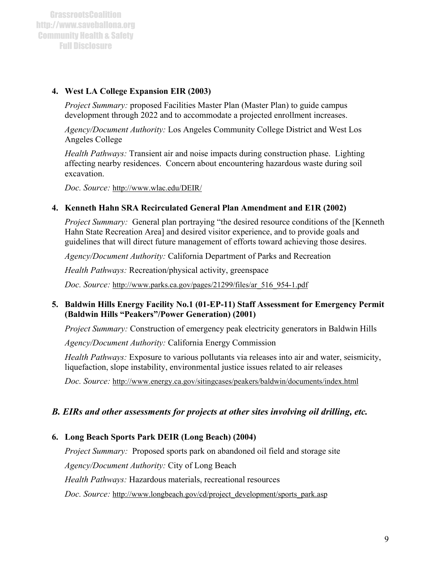## **4. West LA College Expansion EIR (2003)**

*Project Summary:* proposed Facilities Master Plan (Master Plan) to guide campus development through 2022 and to accommodate a projected enrollment increases.

*Agency/Document Authority:* Los Angeles Community College District and West Los Angeles College

*Health Pathways:* Transient air and noise impacts during construction phase. Lighting affecting nearby residences. Concern about encountering hazardous waste during soil excavation.

*Doc. Source:* http://www.wlac.edu/DEIR/

## **4. Kenneth Hahn SRA Recirculated General Plan Amendment and E1R (2002)**

*Project Summary:* General plan portraying "the desired resource conditions of the [Kenneth] Hahn State Recreation Area] and desired visitor experience, and to provide goals and guidelines that will direct future management of efforts toward achieving those desires.

*Agency/Document Authority:* California Department of Parks and Recreation

*Health Pathways:* Recreation/physical activity, greenspace

*Doc. Source:* http://www.parks.ca.gov/pages/21299/files/ar\_516\_954-1.pdf

## **5. Baldwin Hills Energy Facility No.1 (01-EP-11) Staff Assessment for Emergency Permit (Baldwin Hills "Peakers"/Power Generation) (2001)**

*Project Summary:* Construction of emergency peak electricity generators in Baldwin Hills

*Agency/Document Authority:* California Energy Commission

*Health Pathways:* Exposure to various pollutants via releases into air and water, seismicity, liquefaction, slope instability, environmental justice issues related to air releases

*Doc. Source:* http://www.energy.ca.gov/sitingcases/peakers/baldwin/documents/index.html

# *B. EIRs and other assessments for projects at other sites involving oil drilling, etc.*

# **6. Long Beach Sports Park DEIR (Long Beach) (2004)**

*Project Summary:* Proposed sports park on abandoned oil field and storage site *Agency/Document Authority:* City of Long Beach *Health Pathways:* Hazardous materials, recreational resources *Doc. Source:* http://www.longbeach.gov/cd/project\_development/sports\_park.asp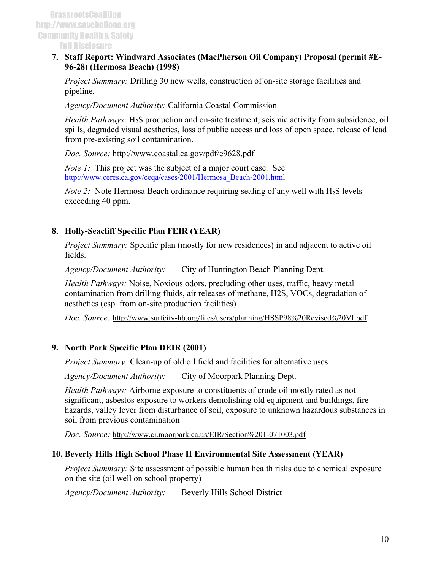#### **7. Staff Report: Windward Associates (MacPherson Oil Company) Proposal (permit #E-96-28) (Hermosa Beach) (1998)**

*Project Summary:* Drilling 30 new wells, construction of on-site storage facilities and pipeline,

*Agency/Document Authority:* California Coastal Commission

*Health Pathways:* H<sub>2</sub>S production and on-site treatment, seismic activity from subsidence, oil spills, degraded visual aesthetics, loss of public access and loss of open space, release of lead from pre-existing soil contamination.

*Doc. Source:* http://www.coastal.ca.gov/pdf/e9628.pdf

*Note 1:* This project was the subject of a major court case. See [http://www.ceres.ca.gov/ceqa/cases/2001/Hermosa\\_Beach-2001.html](http://www.ceres.ca.gov/ceqa/cases/2001/Hermosa_Beach-2001.html)

*Note 2:* Note Hermosa Beach ordinance requiring sealing of any well with  $H_2S$  levels exceeding 40 ppm.

# **8. Holly-Seacliff Specific Plan FEIR (YEAR)**

*Project Summary:* Specific plan (mostly for new residences) in and adjacent to active oil fields.

*Agency/Document Authority:* City of Huntington Beach Planning Dept.

*Health Pathways:* Noise, Noxious odors, precluding other uses, traffic, heavy metal contamination from drilling fluids, air releases of methane, H2S, VOCs, degradation of aesthetics (esp. from on-site production facilities)

*Doc. Source:* http://www.surfcity-hb.org/files/users/planning/HSSP98%20Revised%20VI.pdf

## **9. North Park Specific Plan DEIR (2001)**

*Project Summary:* Clean-up of old oil field and facilities for alternative uses

*Agency/Document Authority:* City of Moorpark Planning Dept.

*Health Pathways:* Airborne exposure to constituents of crude oil mostly rated as not significant, asbestos exposure to workers demolishing old equipment and buildings, fire hazards, valley fever from disturbance of soil, exposure to unknown hazardous substances in soil from previous contamination

*Doc. Source:* http://www.ci.moorpark.ca.us/EIR/Section%201-071003.pdf

## **10. Beverly Hills High School Phase II Environmental Site Assessment (YEAR)**

*Project Summary:* Site assessment of possible human health risks due to chemical exposure on the site (oil well on school property)

*Agency/Document Authority:* Beverly Hills School District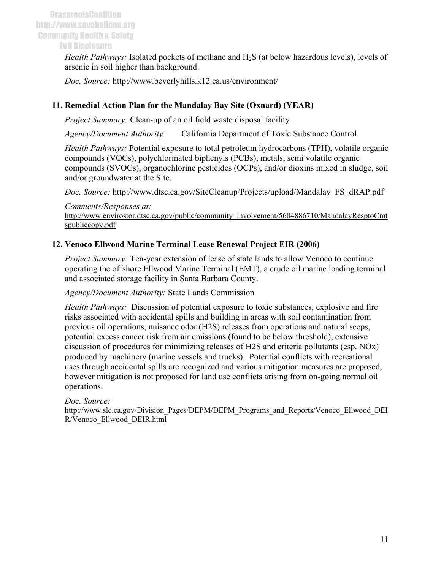*Health Pathways:* Isolated pockets of methane and H2S (at below hazardous levels), levels of arsenic in soil higher than background.

*Doc. Source:* http://www.beverlyhills.k12.ca.us/environment/

# **11. Remedial Action Plan for the Mandalay Bay Site (Oxnard) (YEAR)**

*Project Summary:* Clean-up of an oil field waste disposal facility

*Agency/Document Authority:* California Department of Toxic Substance Control

*Health Pathways:* Potential exposure to total petroleum hydrocarbons (TPH), volatile organic compounds (VOCs), polychlorinated biphenyls (PCBs), metals, semi volatile organic compounds (SVOCs), organochlorine pesticides (OCPs), and/or dioxins mixed in sludge, soil and/or groundwater at the Site.

*Doc. Source:* http://www.dtsc.ca.gov/SiteCleanup/Projects/upload/Mandalay\_FS\_dRAP.pdf

*Comments/Responses at:* 

http://www.envirostor.dtsc.ca.gov/public/community\_involvement/5604886710/MandalayResptoCmt spubliccopy.pdf

# **12. Venoco Ellwood Marine Terminal Lease Renewal Project EIR (2006)**

*Project Summary:* Ten-year extension of lease of state lands to allow Venoco to continue operating the offshore Ellwood Marine Terminal (EMT), a crude oil marine loading terminal and associated storage facility in Santa Barbara County.

*Agency/Document Authority:* State Lands Commission

*Health Pathways:* Discussion of potential exposure to toxic substances, explosive and fire risks associated with accidental spills and building in areas with soil contamination from previous oil operations, nuisance odor (H2S) releases from operations and natural seeps, potential excess cancer risk from air emissions (found to be below threshold), extensive discussion of procedures for minimizing releases of H2S and criteria pollutants (esp. NOx) produced by machinery (marine vessels and trucks). Potential conflicts with recreational uses through accidental spills are recognized and various mitigation measures are proposed, however mitigation is not proposed for land use conflicts arising from on-going normal oil operations.

*Doc. Source:*

http://www.slc.ca.gov/Division\_Pages/DEPM/DEPM\_Programs\_and\_Reports/Venoco\_Ellwood\_DEI R/Venoco\_Ellwood\_DEIR.html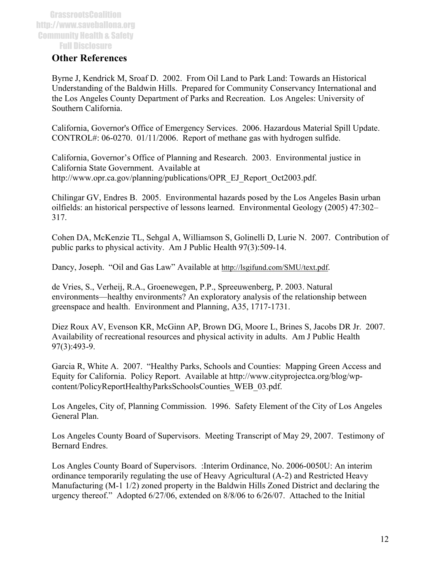## **Other References**

Byrne J, Kendrick M, Sroaf D. 2002. From Oil Land to Park Land: Towards an Historical Understanding of the Baldwin Hills. Prepared for Community Conservancy International and the Los Angeles County Department of Parks and Recreation. Los Angeles: University of Southern California.

California, Governor's Office of Emergency Services. 2006. Hazardous Material Spill Update. CONTROL#: 06-0270. 01/11/2006. Report of methane gas with hydrogen sulfide.

California, Governor's Office of Planning and Research. 2003. Environmental justice in California State Government. Available at http://www.opr.ca.gov/planning/publications/OPR\_EJ\_Report\_Oct2003.pdf.

Chilingar GV, Endres B. 2005. Environmental hazards posed by the Los Angeles Basin urban oilfields: an historical perspective of lessons learned. Environmental Geology (2005) 47:302– 317.

Cohen DA, McKenzie TL, Sehgal A, Williamson S, Golinelli D, Lurie N. 2007. Contribution of public parks to physical activity. Am J Public Health 97(3):509-14.

Dancy, Joseph. "Oil and Gas Law" Available at http://lsgifund.com/SMU/text.pdf.

de Vries, S., Verheij, R.A., Groenewegen, P.P., Spreeuwenberg, P. 2003. Natural environments—healthy environments? An exploratory analysis of the relationship between greenspace and health. Environment and Planning, A35, 1717-1731.

Diez Roux AV, Evenson KR, McGinn AP, Brown DG, Moore L, Brines S, Jacobs DR Jr. 2007. Availability of recreational resources and physical activity in adults. Am J Public Health 97(3):493-9.

Garcia R, White A. 2007. "Healthy Parks, Schools and Counties: Mapping Green Access and Equity for California. Policy Report. Available at http://www.cityprojectca.org/blog/wpcontent/PolicyReportHealthyParksSchoolsCounties\_WEB\_03.pdf.

Los Angeles, City of, Planning Commission. 1996. Safety Element of the City of Los Angeles General Plan.

Los Angeles County Board of Supervisors. Meeting Transcript of May 29, 2007. Testimony of Bernard Endres.

Los Angles County Board of Supervisors. :Interim Ordinance, No. 2006-0050U: An interim ordinance temporarily regulating the use of Heavy Agricultural (A-2) and Restricted Heavy Manufacturing (M-1 1/2) zoned property in the Baldwin Hills Zoned District and declaring the urgency thereof." Adopted 6/27/06, extended on 8/8/06 to 6/26/07. Attached to the Initial